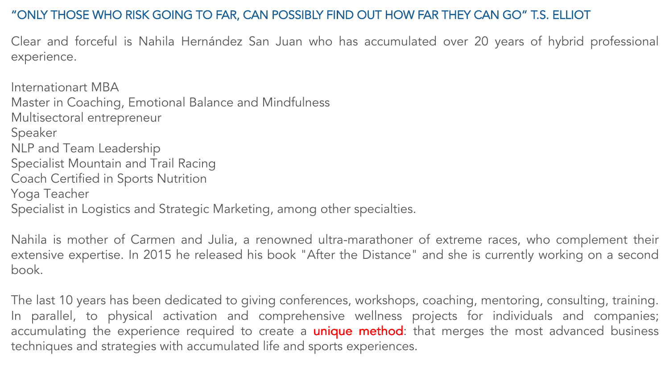# "ONLY THOSE WHO RISK GOING TO FAR, CAN POSSIBLY FIND OUT HOW FAR THEY CAN GO" T.S. ELLIOT



experience.

Internationart MBA Master in Coaching, Emotional Balance and Mindfulness Multisectoral entrepreneur Speaker NLP and Team Leadership Specialist Mountain and Trail Racing Coach Certified in Sports Nutrition Yoga Teacher Specialist in Logistics and Strategic Marketing, among other specialties.

Nahila is mother of Carmen and Julia, a renowned ultra-marathoner of extreme races, who complement their extensive expertise. In 2015 he released his book "After the Distance" and she is currently working on a second book.

The last 10 years has been dedicated to giving conferences, workshops, coaching, mentoring, consulting, training. In parallel, to physical activation and comprehensive wellness projects for individuals and companies; accumulating the experience required to create a *unique method*: that merges the most advanced business techniques and strategies with accumulated life and sports experiences.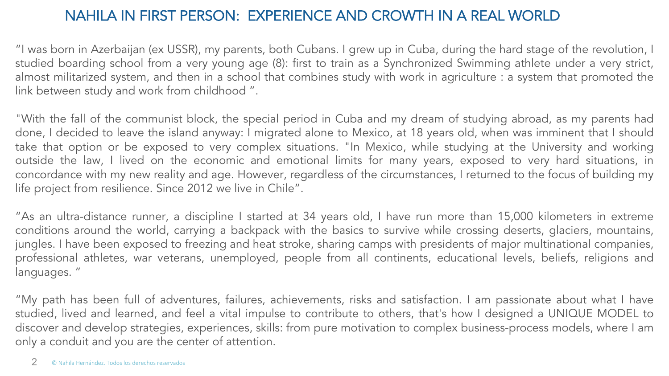### NAHILA IN FIRST PERSON: EXPERIENCE AND CROWTH IN A REAL WORLD

"I was born in Azerbaijan (ex USSR), my parents, both Cubans. I grew up in Cuba, during the hard stage of the revolution, I studied boarding school from a very young age (8): first to train as a Synchronized Swimming athlete under a very strict, almost militarized system, and then in a school that combines study with work in agriculture : a system that promoted the link between study and work from childhood " .

"With the fall of the communist block, the special period in Cuba and my dream of studying abroad, as my parents had done, I decided to leave the island anyway: I migrated alone to Mexico, at 18 years old, when was imminent that I should take that option or be exposed to very complex situations. "In Mexico, while studying at the University and working outside the law, I lived on the economic and emotional limits for many years, exposed to very hard situations, in concordance with my new reality and age. However, regardless of the circumstances, I returned to the focus of building my life project from resilience. Since 2012 we live in Chile".

"As an ultra-distance runner, a discipline I started at 34 years old, I have run more than 15,000 kilometers in extreme conditions around the world, carrying a backpack with the basics to survive while crossing deserts, glaciers, mountains, jungles. I have been exposed to freezing and heat stroke, sharing camps with presidents of major multinational companies, professional athletes, war veterans, unemployed, people from all continents, educational levels, beliefs, religions and languages. "

"My path has been full of adventures, failures, achievements, risks and satisfaction. I am passionate about what I have studied, lived and learned, and feel a vital impulse to contribute to others, that's how I designed a UNIQUE MODEL to discover and develop strategies, experiences, skills: from pure motivation to complex business-process models, where I am only a conduit and you are the center of attention.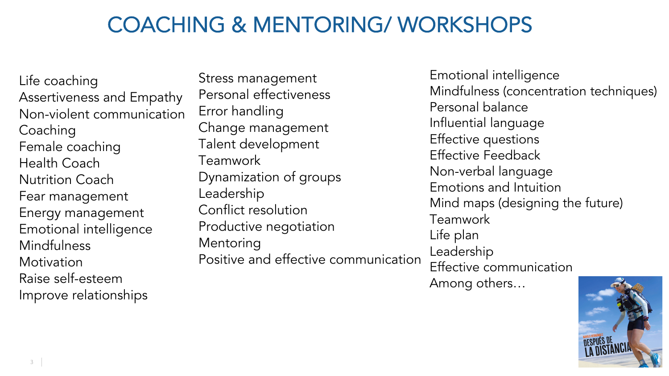## COACHING & MENTORING/ WORKSHOPS

Stress management Personal effectiveness Error handling Change management Talent development Teamwork Dynamization of groups Leadership Conflict resolution Productive negotiation Mentoring Positive and effective communication

Life coaching Assertiveness and Empathy Non-violent communication Coaching Female coaching Health Coach Nutrition Coach Fear management Energy management Emotional intelligence Mindfulness Motivation Raise self-esteem Improve relationships

Emotional intelligence Mindfulness (concentration techniques) Personal balance Influential language Effective questions Effective Feedback Non-verbal language Emotions and Intuition Mind maps (designing the future) Teamwork Life plan Leadership Effective communication Among others…